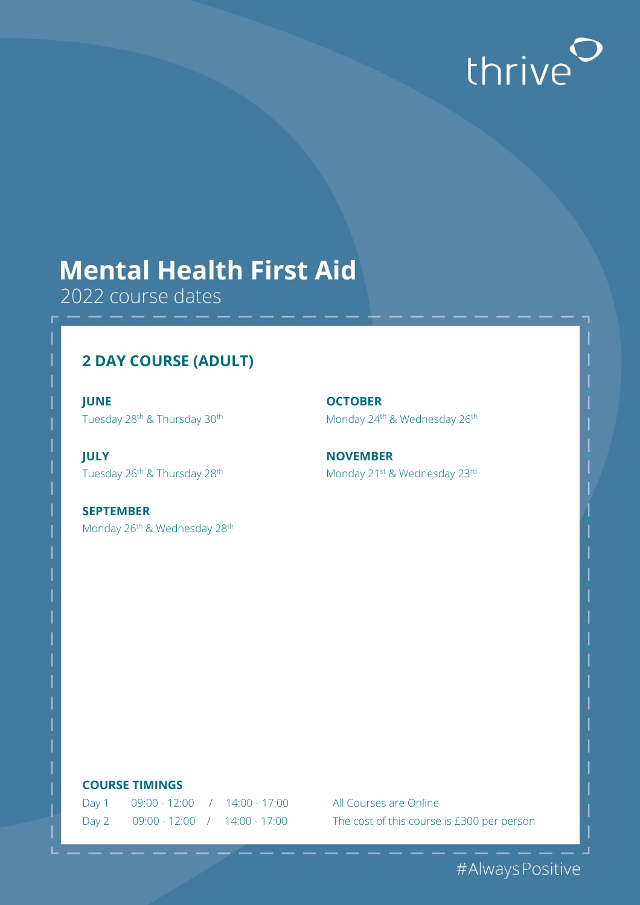# thrive<sup>O</sup>

## **Mental Health First Aid**

2022 course dates

## **2 DAY COURSE (ADULT)**

**JUNE OCTOBER**

**JULY NOVEMBER**

**SEPTEMBER** Monday 26<sup>th</sup> & Wednesday 28<sup>th</sup>

Tuesday 28<sup>th</sup> & Thursday 30<sup>th</sup> Monday 24<sup>th</sup> & Wednesday 26<sup>th</sup>

Tuesday 26<sup>th</sup> & Thursday 28<sup>th</sup> Monday 21<sup>st</sup> & Wednesday 23<sup>rd</sup>

#### **COURSE TIMINGS**

| Day 1 | $09:00 - 12:00$ / $14:00 - 17:00$ |  |
|-------|-----------------------------------|--|
| Day 2 | $09:00 - 12:00$ / $14:00 - 17:00$ |  |

All Courses are Online The cost of this course is £300 per person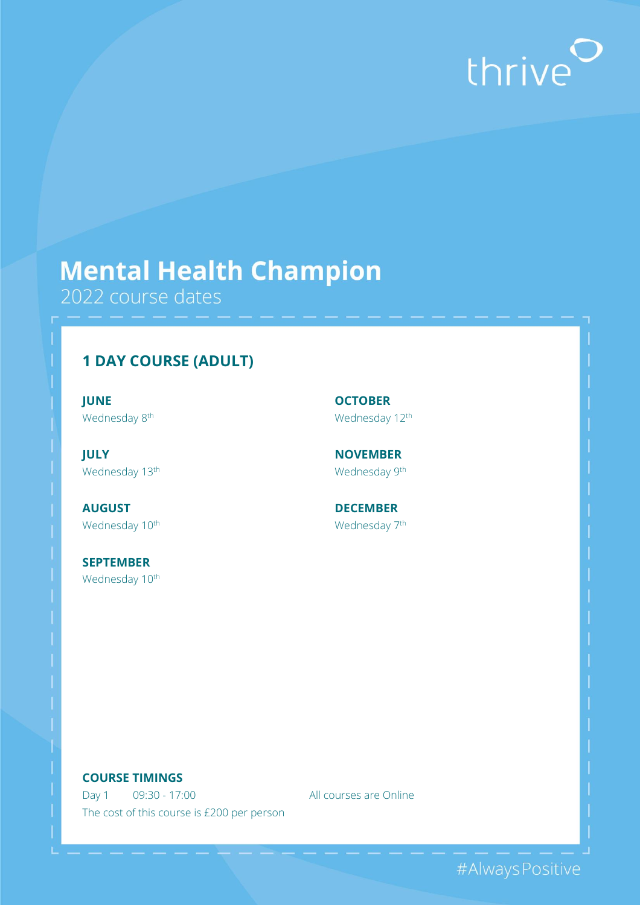# thrive<sup>O</sup>

## **Mental Health Champion**

2022 course dates

## **1 DAY COURSE (ADULT)**

**JUNE OCTOBER** Wednesday 8<sup>th</sup> Wednesday 12<sup>th</sup>

**JULY NOVEMBER** Wednesday 13<sup>th</sup> Wednesday 9<sup>th</sup>

**AUGUST DECEMBER** Wednesday 10<sup>th</sup> Wednesday 7<sup>th</sup>

**SEPTEMBER** Wednesday 10<sup>th</sup>

#### **COURSE TIMINGS**

Day 1 09:30 - 17:00 All courses are Online The cost of this course is £200 per person

#Always Positive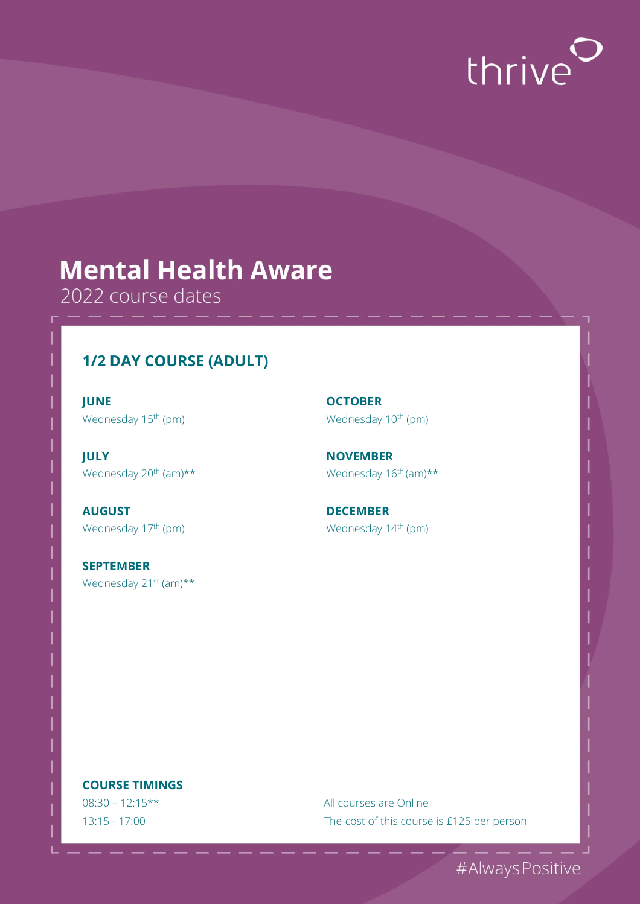

## **Mental Health Aware**

2022 course dates

### **1/2 DAY COURSE (ADULT)**

**JUNE OCTOBER** Wednesday 15<sup>th</sup> (pm) Wednesday 10<sup>th</sup> (pm)

**JULY NOVEMBER** Wednesday 20<sup>th</sup> (am)\*\* Wednesday 16<sup>th</sup> (am)\*\*

**AUGUST DECEMBER**

**SEPTEMBER** Wednesday 21<sup>st</sup> (am)\*\*

Wednesday 17<sup>th</sup> (pm) Wednesday 14<sup>th</sup> (pm)

#### **COURSE TIMINGS**

08:30 – 12:15\*\* All courses are Online 13:15 - 17:00 The cost of this course is £125 per person

#Always Positive